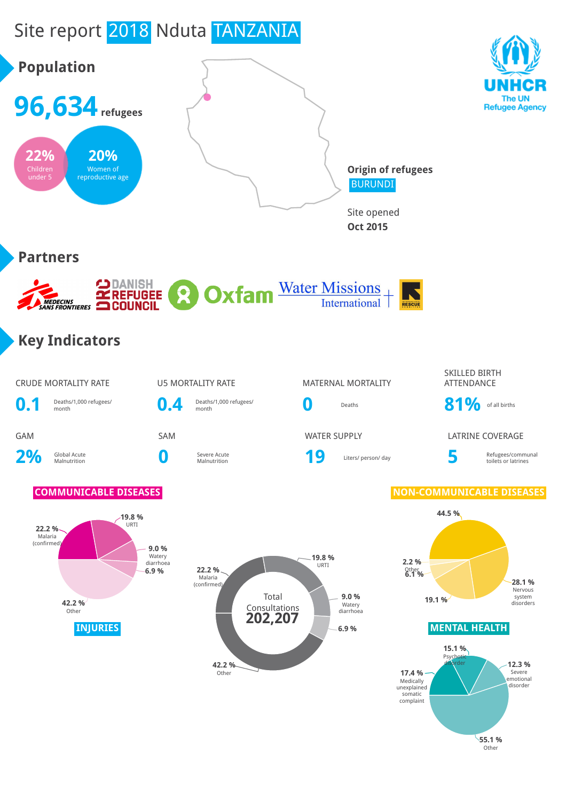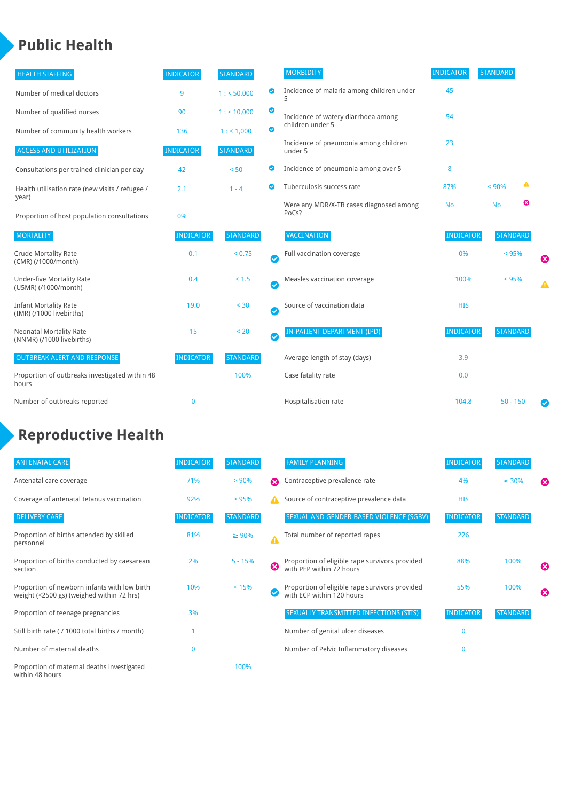## **Public Health**

| <b>HEALTH STAFFING</b>                                      | <b>INDICATOR</b> | <b>STANDARD</b> |                            | <b>MORBIDITY</b>                                 | <b>INDICATOR</b> | <b>STANDARD</b> |   |                       |
|-------------------------------------------------------------|------------------|-----------------|----------------------------|--------------------------------------------------|------------------|-----------------|---|-----------------------|
| Number of medical doctors                                   | 9                | 1: 50,000       | ◉                          | Incidence of malaria among children under        | 45               |                 |   |                       |
| Number of qualified nurses                                  | 90               | $1:$ < 10,000   | ◙                          | Incidence of watery diarrhoea among              | 54               |                 |   |                       |
| Number of community health workers                          | 136              | 1: 1,000        | ◙                          | children under 5                                 |                  |                 |   |                       |
| <b>ACCESS AND UTILIZATION</b>                               | <b>INDICATOR</b> | <b>STANDARD</b> |                            | Incidence of pneumonia among children<br>under 5 | 23               |                 |   |                       |
| Consultations per trained clinician per day                 | 42               | < 50            | Ø                          | Incidence of pneumonia among over 5              | 8                |                 |   |                       |
| Health utilisation rate (new visits / refugee /<br>year)    | 2.1              | $1 - 4$         | Ø                          | Tuberculosis success rate                        | 87%              | < 90%           | ▲ |                       |
| Proportion of host population consultations                 | 0%               |                 |                            | Were any MDR/X-TB cases diagnosed among<br>PoCs? | <b>No</b>        | <b>No</b>       | ఴ |                       |
| <b>MORTALITY</b>                                            | <b>INDICATOR</b> | <b>STANDARD</b> |                            | VACCINATION                                      | <b>INDICATOR</b> | <b>STANDARD</b> |   |                       |
| <b>Crude Mortality Rate</b><br>(CMR) (/1000/month)          | 0.1              | < 0.75          | Ø                          | Full vaccination coverage                        | 0%               | < 95%           |   | $\boldsymbol{\omega}$ |
| <b>Under-five Mortality Rate</b><br>(U5MR) (/1000/month)    | 0.4              | < 1.5           | Ø                          | Measles vaccination coverage                     | 100%             | < 95%           |   | ▲                     |
| <b>Infant Mortality Rate</b><br>(IMR) (/1000 livebirths)    | 19.0             | < 30            | $\boldsymbol{\mathcal{S}}$ | Source of vaccination data                       | <b>HIS</b>       |                 |   |                       |
| <b>Neonatal Mortality Rate</b><br>(NNMR) (/1000 livebirths) | 15               | < 20            | Ø                          | IN-PATIENT DEPARTMENT (IPD)                      | <b>INDICATOR</b> | <b>STANDARD</b> |   |                       |
| <b>OUTBREAK ALERT AND RESPONSE</b>                          | <b>INDICATOR</b> | <b>STANDARD</b> |                            | Average length of stay (days)                    | 3.9              |                 |   |                       |
| Proportion of outbreaks investigated within 48<br>hours     |                  | 100%            |                            | Case fatality rate                               | 0.0              |                 |   |                       |
| Number of outbreaks reported                                | $\mathbf 0$      |                 |                            | Hospitalisation rate                             | 104.8            | $50 - 150$      |   | Ø                     |

# **Reproductive Health**

| <b>ANTENATAL CARE</b>                                                                     | <b>INDICATOR</b> | <b>STANDARD</b> |   | <b>FAMILY PLANNING</b>                                                      | <b>INDICATOR</b> | <b>STANDARD</b> |                       |
|-------------------------------------------------------------------------------------------|------------------|-----------------|---|-----------------------------------------------------------------------------|------------------|-----------------|-----------------------|
| Antenatal care coverage                                                                   | 71%              | > 90%           | Ω | Contraceptive prevalence rate                                               | 4%               | $\geq 30\%$     | ⊠                     |
| Coverage of antenatal tetanus vaccination                                                 | 92%              | > 95%           |   | Source of contraceptive prevalence data                                     | <b>HIS</b>       |                 |                       |
| <b>DELIVERY CARE</b>                                                                      | <b>INDICATOR</b> | <b>STANDARD</b> |   | SEXUAL AND GENDER-BASED VIOLENCE (SGBV)                                     | <b>INDICATOR</b> | <b>STANDARD</b> |                       |
| Proportion of births attended by skilled<br>personnel                                     | 81%              | $\geq 90\%$     |   | Total number of reported rapes                                              | 226              |                 |                       |
| Proportion of births conducted by caesarean<br>section                                    | 2%               | $5 - 15%$       | ೞ | Proportion of eligible rape survivors provided<br>with PEP within 72 hours  | 88%              | 100%            | ೞ                     |
| Proportion of newborn infants with low birth<br>weight (<2500 gs) (weighed within 72 hrs) | 10%              | < 15%           |   | Proportion of eligible rape survivors provided<br>with ECP within 120 hours | 55%              | 100%            | $\boldsymbol{\Omega}$ |
| Proportion of teenage pregnancies                                                         | 3%               |                 |   | SEXUALLY TRANSMITTED INFECTIONS (STIS)                                      | <b>INDICATOR</b> | <b>STANDARD</b> |                       |
| Still birth rate (/ 1000 total births / month)                                            |                  |                 |   | Number of genital ulcer diseases                                            | $\Omega$         |                 |                       |
| Number of maternal deaths                                                                 |                  |                 |   | Number of Pelvic Inflammatory diseases                                      | $\Omega$         |                 |                       |
| Proportion of maternal deaths investigated<br>within 48 hours                             |                  | 100%            |   |                                                                             |                  |                 |                       |